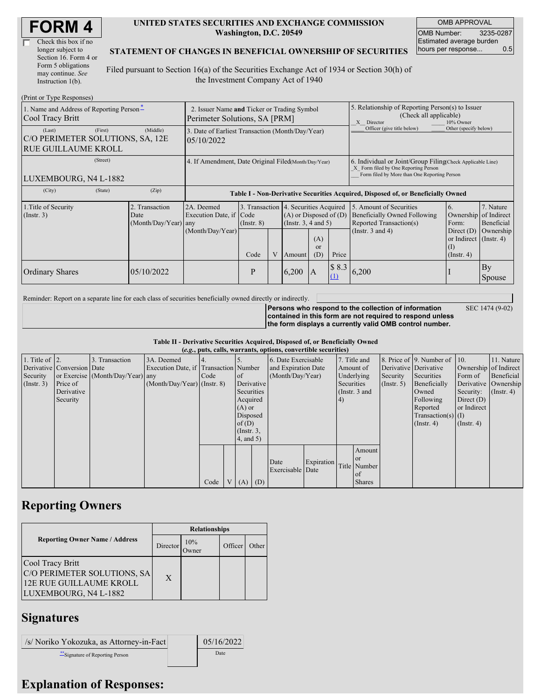| Check this box if no  |
|-----------------------|
| longer subject to     |
| Section 16. Form 4 or |
| Form 5 obligations    |
| may continue. See     |
| Instruction 1(b).     |

#### **UNITED STATES SECURITIES AND EXCHANGE COMMISSION Washington, D.C. 20549**

OMB APPROVAL OMB Number: 3235-0287 Estimated average burden hours per response... 0.5

SEC 1474 (9-02)

#### **STATEMENT OF CHANGES IN BENEFICIAL OWNERSHIP OF SECURITIES**

Filed pursuant to Section 16(a) of the Securities Exchange Act of 1934 or Section 30(h) of the Investment Company Act of 1940

| (Print or Type Responses)                                                           |                                                                              |                                                                                  |                                                                  |   |                                                              |                             |                                                                                                                                                    |                                                                                                             |                                                                                                           |                                      |  |  |
|-------------------------------------------------------------------------------------|------------------------------------------------------------------------------|----------------------------------------------------------------------------------|------------------------------------------------------------------|---|--------------------------------------------------------------|-----------------------------|----------------------------------------------------------------------------------------------------------------------------------------------------|-------------------------------------------------------------------------------------------------------------|-----------------------------------------------------------------------------------------------------------|--------------------------------------|--|--|
| 1. Name and Address of Reporting Person-<br>Cool Tracy Britt                        | 2. Issuer Name and Ticker or Trading Symbol<br>Perimeter Solutions, SA [PRM] |                                                                                  |                                                                  |   |                                                              |                             | 5. Relationship of Reporting Person(s) to Issuer<br>(Check all applicable)<br>X Director<br>10% Owner                                              |                                                                                                             |                                                                                                           |                                      |  |  |
| (First)<br>(Last)<br>C/O PERIMETER SOLUTIONS, SA, 12E<br><b>RUE GUILLAUME KROLL</b> | (Middle)                                                                     | 3. Date of Earliest Transaction (Month/Day/Year)<br>05/10/2022                   |                                                                  |   |                                                              |                             |                                                                                                                                                    | Officer (give title below)<br>Other (specify below)                                                         |                                                                                                           |                                      |  |  |
| (Street)<br>LUXEMBOURG, N4 L-1882                                                   | 4. If Amendment, Date Original Filed(Month/Day/Year)                         |                                                                                  |                                                                  |   |                                                              |                             | 6. Individual or Joint/Group Filing Check Applicable Line)<br>X Form filed by One Reporting Person<br>Form filed by More than One Reporting Person |                                                                                                             |                                                                                                           |                                      |  |  |
| (State)<br>(City)                                                                   | (Zip)                                                                        | Table I - Non-Derivative Securities Acquired, Disposed of, or Beneficially Owned |                                                                  |   |                                                              |                             |                                                                                                                                                    |                                                                                                             |                                                                                                           |                                      |  |  |
| 1. Title of Security<br>$($ Instr. 3 $)$                                            | 2. Transaction<br>Date<br>(Month/Day/Year) any                               | 2A. Deemed<br>Execution Date, if Code<br>(Month/Day/Year)                        | 3. Transaction 4. Securities Acquired<br>$($ Instr. $8)$<br>Code | V | $(A)$ or Disposed of $(D)$<br>(Insert. 3, 4 and 5)<br>Amount | (A)<br><sub>or</sub><br>(D) | Price                                                                                                                                              | 5. Amount of Securities<br>Beneficially Owned Following<br>Reported Transaction(s)<br>(Instr. $3$ and $4$ ) | 6.<br>Ownership of Indirect<br>Form:<br>Direct $(D)$<br>or Indirect (Instr. 4)<br>(I)<br>$($ Instr. 4 $)$ | 7. Nature<br>Beneficial<br>Ownership |  |  |
| <b>Ordinary Shares</b>                                                              | 05/10/2022                                                                   |                                                                                  | P                                                                |   | 6,200                                                        | IA                          | \$8.3<br>(1)                                                                                                                                       | 6,200                                                                                                       |                                                                                                           | By<br>Spouse                         |  |  |

Reminder: Report on a separate line for each class of securities beneficially owned directly or indirectly.

**Persons who respond to the collection of information contained in this form are not required to respond unless the form displays a currently valid OMB control number.**

**Table II - Derivative Securities Acquired, Disposed of, or Beneficially Owned**

|                        | (e.g., puts, calls, warrants, options, convertible securities) |                                  |                                       |      |  |                 |  |                     |            |            |               |                       |                              |                  |                       |
|------------------------|----------------------------------------------------------------|----------------------------------|---------------------------------------|------|--|-----------------|--|---------------------|------------|------------|---------------|-----------------------|------------------------------|------------------|-----------------------|
| 1. Title of $\vert$ 2. |                                                                | 3. Transaction                   | 3A. Deemed                            |      |  |                 |  | 6. Date Exercisable |            |            | 7. Title and  |                       | 8. Price of 9. Number of 10. |                  | 11. Nature            |
|                        | Derivative Conversion Date                                     |                                  | Execution Date, if Transaction Number |      |  |                 |  | and Expiration Date |            |            | Amount of     | Derivative Derivative |                              |                  | Ownership of Indirect |
| Security               |                                                                | or Exercise (Month/Day/Year) any |                                       | Code |  | <sub>of</sub>   |  | (Month/Day/Year)    |            |            | Underlying    | Security              | Securities                   | Form of          | Beneficial            |
| (Insert. 3)            | Price of                                                       |                                  | $(Month/Day/Year)$ (Instr. 8)         |      |  | Derivative      |  |                     |            | Securities |               | (Insert, 5)           | Beneficially                 |                  | Derivative Ownership  |
|                        | Derivative                                                     |                                  |                                       |      |  | Securities      |  |                     |            |            | (Instr. 3 and |                       | Owned                        | Security:        | $($ Instr. 4)         |
|                        | Security                                                       |                                  |                                       |      |  | Acquired        |  |                     |            | (4)        |               |                       | Following                    | Direct $(D)$     |                       |
|                        |                                                                |                                  |                                       |      |  | $(A)$ or        |  |                     |            |            |               |                       | Reported                     | or Indirect      |                       |
|                        |                                                                |                                  |                                       |      |  | Disposed        |  |                     |            |            |               |                       | $Transaction(s)$ (I)         |                  |                       |
|                        |                                                                |                                  |                                       |      |  | of $(D)$        |  |                     |            |            |               |                       | $($ Instr. 4 $)$             | $($ Instr. 4 $)$ |                       |
|                        |                                                                |                                  |                                       |      |  | $($ Instr. $3,$ |  |                     |            |            |               |                       |                              |                  |                       |
|                        |                                                                |                                  |                                       |      |  | $4$ , and 5)    |  |                     |            |            |               |                       |                              |                  |                       |
|                        |                                                                |                                  |                                       |      |  |                 |  |                     |            |            | Amount        |                       |                              |                  |                       |
|                        |                                                                |                                  |                                       |      |  |                 |  |                     |            |            | <b>or</b>     |                       |                              |                  |                       |
|                        |                                                                |                                  |                                       |      |  |                 |  | Date                | Expiration |            | Title Number  |                       |                              |                  |                       |
|                        |                                                                |                                  |                                       |      |  |                 |  | Exercisable Date    |            |            | of            |                       |                              |                  |                       |
|                        |                                                                |                                  |                                       | Code |  | $V(A)$ (D)      |  |                     |            |            | <b>Shares</b> |                       |                              |                  |                       |

## **Reporting Owners**

|                                                                                                            | <b>Relationships</b> |                     |         |       |  |  |  |
|------------------------------------------------------------------------------------------------------------|----------------------|---------------------|---------|-------|--|--|--|
| <b>Reporting Owner Name / Address</b>                                                                      | Director             | 10%<br><b>Dwner</b> | Officer | Other |  |  |  |
| Cool Tracy Britt<br>C/O PERIMETER SOLUTIONS, SA<br><b>12E RUE GUILLAUME KROLL</b><br>LUXEMBOURG, N4 L-1882 | X                    |                     |         |       |  |  |  |

# **Signatures**

/s/ Noriko Yokozuka, as Attorney-in-Fact 05/16/2022

\*\*Signature of Reporting Person Date

## **Explanation of Responses:**